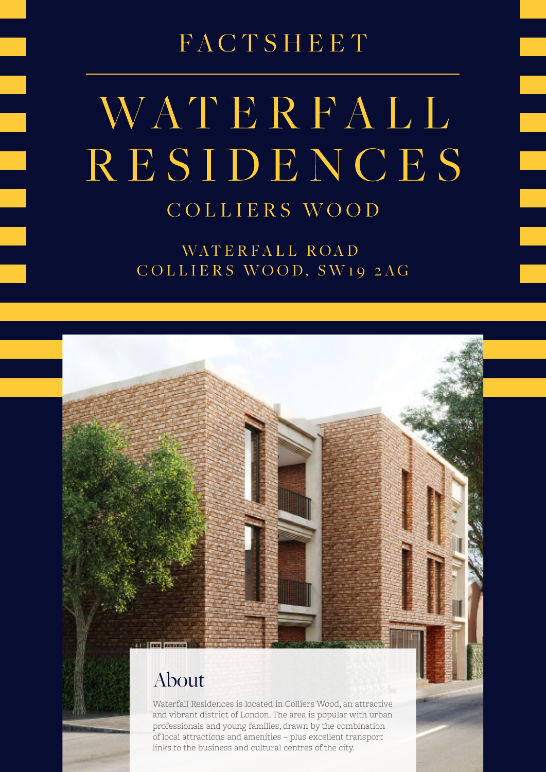FACTSHEET

# WATERFALL RESIDENCES COLLIERS WOOD

WATERFALL ROAD COLLIERS WOOD, SW19 2AG

## About

Waterfall Residences is located in Colliers Wood, an attractive and vibrant district of London. The area is popular with urban professionals and young families, drawn by the combination of local attractions and amenities – plus excellent transport links to the business and cultural centres of the city.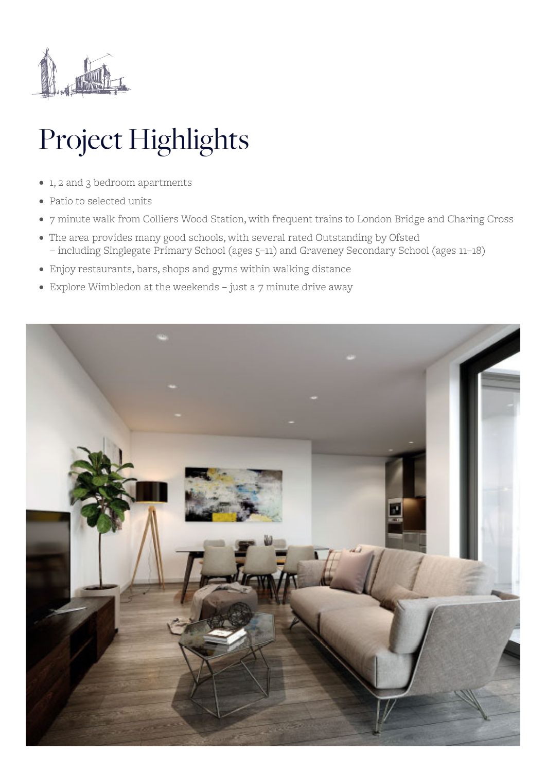

# Project Highlights

- 1, 2 and 3 bedroom apartments
- Patio to selected units
- 7 minute walk from Colliers Wood Station, with frequent trains to London Bridge and Charing Cross
- The area provides many good schools, with several rated Outstanding by Ofsted – including Singlegate Primary School (ages 5–11) and Graveney Secondary School (ages 11–18)
- Enjoy restaurants, bars, shops and gyms within walking distance
- Explore Wimbledon at the weekends just a 7 minute drive away

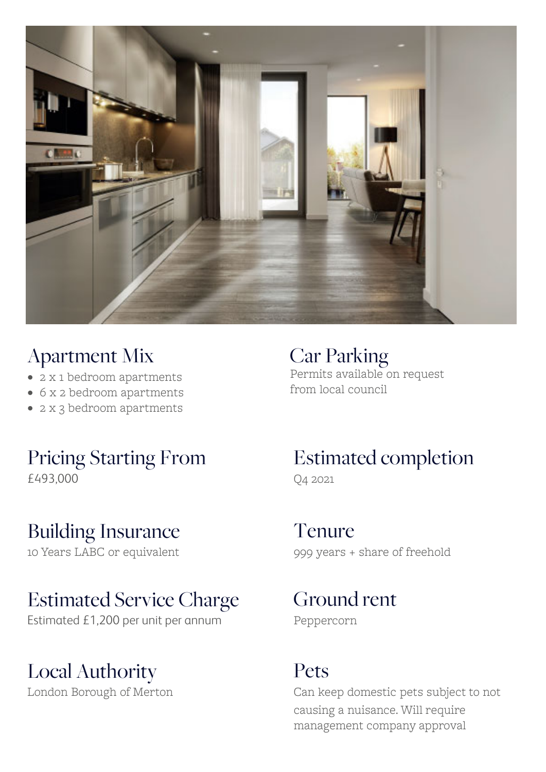

## Apartment Mix

- 2 x 1 bedroom apartments
- 6 x 2 bedroom apartments
- 2 x 3 bedroom apartments

## Pricing Starting From £493,000

## Building Insurance

10 Years LABC or equivalent

## Estimated Service Charge

Estimated £1,200 per unit per annum

## Local Authority

London Borough of Merton

Car Parking Permits available on request from local council

## Estimated completion Q4 2021

Tenure 999 years + share of freehold

Ground rent Peppercorn

## Pets

Can keep domestic pets subject to not causing a nuisance. Will require management company approval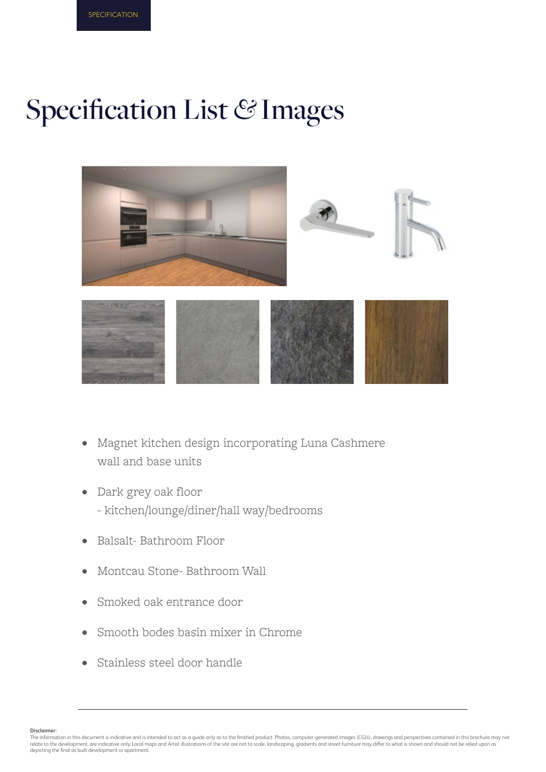## Specification List *&* Images



- Magnet kitchen design incorporating Luna Cashmere wall and base units •
- Dark grey oak floor - kitchen/lounge/diner/hall way/bedrooms •
- Balsalt- Bathroom Floor •
- Montcau Stone- Bathroom Wall •
- Smoked oak entrance door •
- Smooth bodes basin mixer in Chrome •
- Stainless steel door handle •

**Disclaimer:**

The information in this document is indicative and is intended to act as a guide only as to the finished product. Photos, computer-generated images (CGIs), drawings and perspectives contained in this brochure may not<br>relat depicting the final as built development or apartment.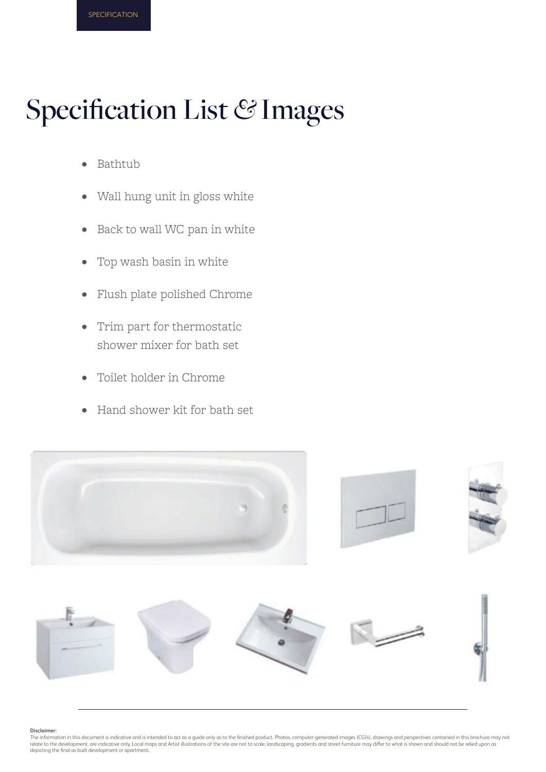## Specification List *&* Images

- Bathtub •
- Wall hung unit in gloss white •
- Back to wall WC pan in white •
- Top wash basin in white •
- Flush plate polished Chrome •
- Trim part for thermostatic shower mixer for bath set •
- Toilet holder in Chrome •
- Hand shower kit for bath set •



#### **Disclaimer:**

The information in this document is indicative and is intended to act as a guide only as to the finished product. Photos, computer-generated images (CGIs), drawings and perspectives contained in this brochure may not<br>relat depicting the final as built development or apartment.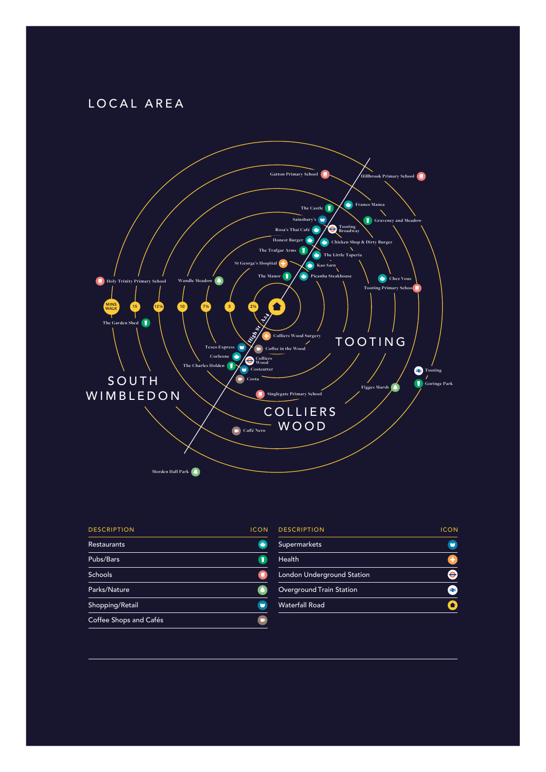### LOCAL AREA



| <b>DESCRIPTION</b>     | <b>ICON</b>   |
|------------------------|---------------|
| <b>Restaurants</b>     | $\rightarrow$ |
| Pubs/Bars              |               |
| <b>Schools</b>         | о             |
| Parks/Nature           |               |
| Shopping/Retail        |               |
| Coffee Shops and Cafés | m             |

| <b>DESCRIPTION</b>         | <b>ICON</b> |
|----------------------------|-------------|
| <b>Supermarkets</b>        |             |
| <b>Health</b>              | ÷           |
| London Underground Station |             |
| Overground Train Station   | ∙≠          |
| <b>Waterfall Road</b>      |             |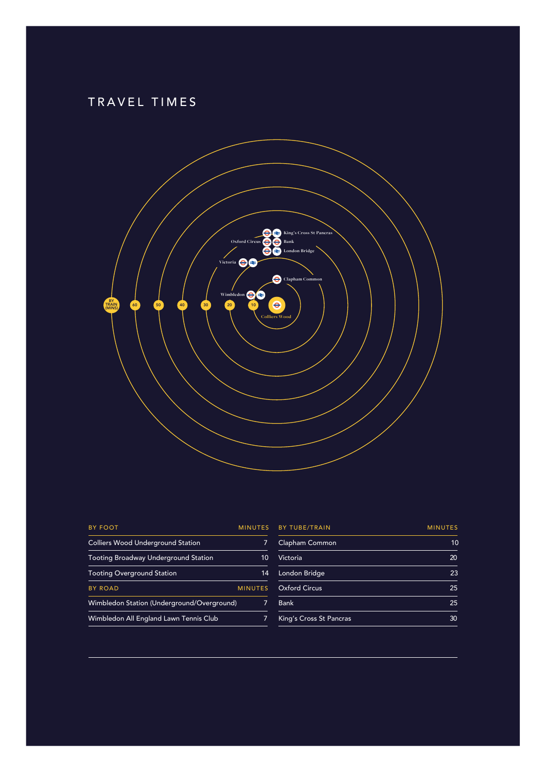### TRAVEL TIMES



| <b>BY FOOT</b>                              | <b>MINUTES</b> |
|---------------------------------------------|----------------|
| <b>Colliers Wood Underground Station</b>    | 7              |
| <b>Tooting Broadway Underground Station</b> | 10             |
| <b>Tooting Overground Station</b>           | 14             |
| <b>BY ROAD</b>                              | <b>MINUTES</b> |
| Wimbledon Station (Underground/Overground)  | 7              |
| Wimbledon All England Lawn Tennis Club      | 7              |
|                                             |                |

| <b>BY TUBE/TRAIN</b>    | <b>MINUTES</b> |
|-------------------------|----------------|
| Clapham Common          | 10             |
| Victoria                | 20             |
| London Bridge           | 23             |
| <b>Oxford Circus</b>    | 25             |
| <b>Bank</b>             | 25             |
| King's Cross St Pancras | 30             |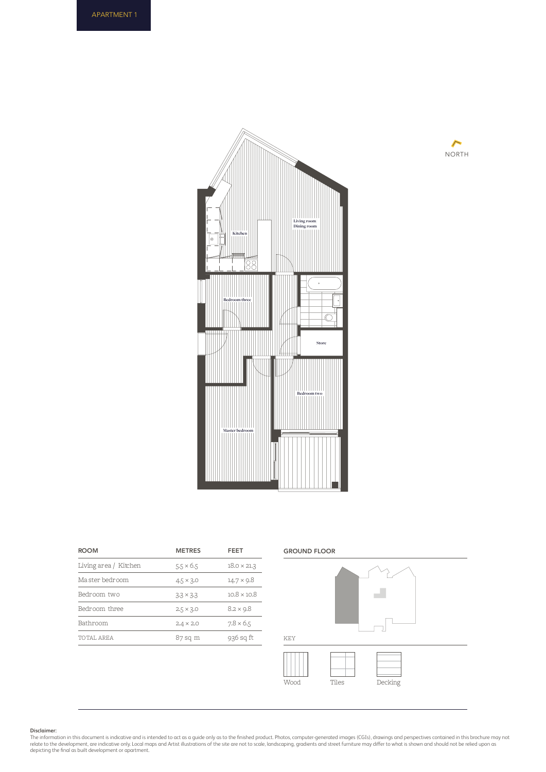



| <b>ROOM</b>           | <b>METRES</b>    | FEET               |
|-----------------------|------------------|--------------------|
| Living area / Kitchen | $5.5 \times 6.5$ | $18.0 \times 21.3$ |
| Ma ster bedroom       | $4.5 \times 3.0$ | $14.7 \times 9.8$  |
| Bedroom two           | $3.3 \times 3.3$ | $10.8 \times 10.8$ |
| Bedroom three         | $2.5 \times 3.0$ | $8.2 \times 9.8$   |
| Bathroom              | $2.4 \times 2.0$ | $7.8 \times 6.5$   |
| TOTAL AREA            | 87 sq m          | 936 sq ft          |
|                       |                  |                    |

### GROUND FLOOR



#### **Disclaimer:**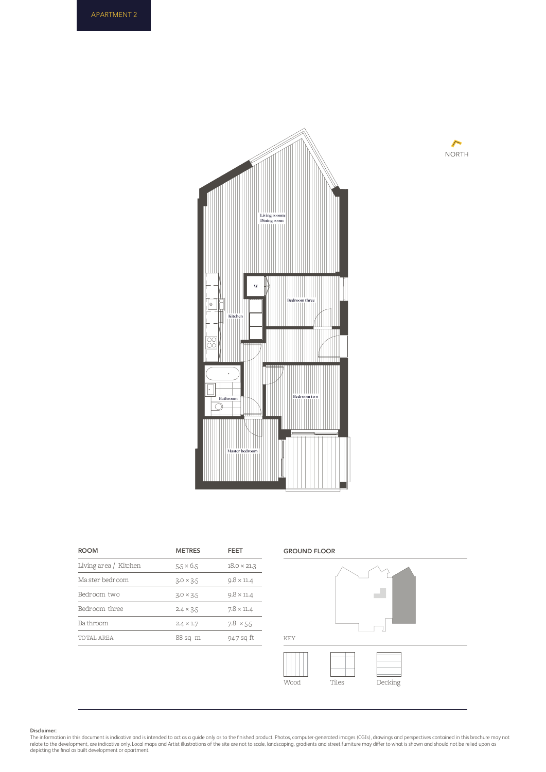



| <b>ROOM</b>           | <b>METRES</b>    | FEET               |
|-----------------------|------------------|--------------------|
| Living area / Kitchen | $5.5 \times 6.5$ | $18.0 \times 21.3$ |
| Ma ster bedroom       | $3.0 \times 3.5$ | $9.8 \times 11.4$  |
| Bedroom two           | $3.0 \times 3.5$ | $9.8 \times 11.4$  |
| Bedroom three         | $2.4 \times 3.5$ | $7.8 \times 11.4$  |
| Ba throom             | $2.4 \times 1.7$ | $7.8 \times 5.5$   |
| TOTAL AREA            | 88 sq m          | 947 sq ft          |

#### GROUND FLOOR

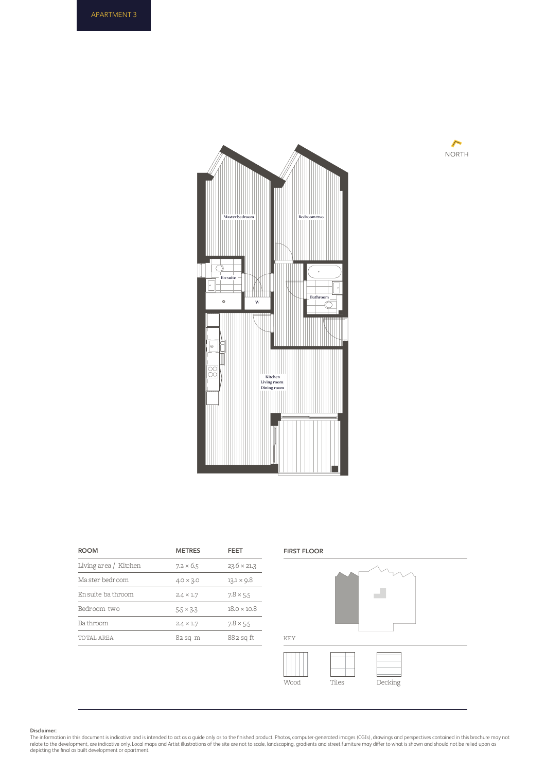



| <b>ROOM</b>           | <b>METRES</b>    | FEET               |
|-----------------------|------------------|--------------------|
| Living area / Kitchen | $7.2 \times 6.5$ | $23.6 \times 21.3$ |
| Ma ster bedroom       | $4.0 \times 3.0$ | $13.1 \times 9.8$  |
| En suite ba throom    | $2.4 \times 1.7$ | $7.8 \times 5.5$   |
| Bedroom two           | $5.5 \times 3.3$ | $18.0 \times 10.8$ |
| Ba throom             | $2.4 \times 1.7$ | $7.8 \times 5.5$   |
| TOTAL AREA            | 82 sq m          | 882 sq ft          |



#### **Disclaimer:**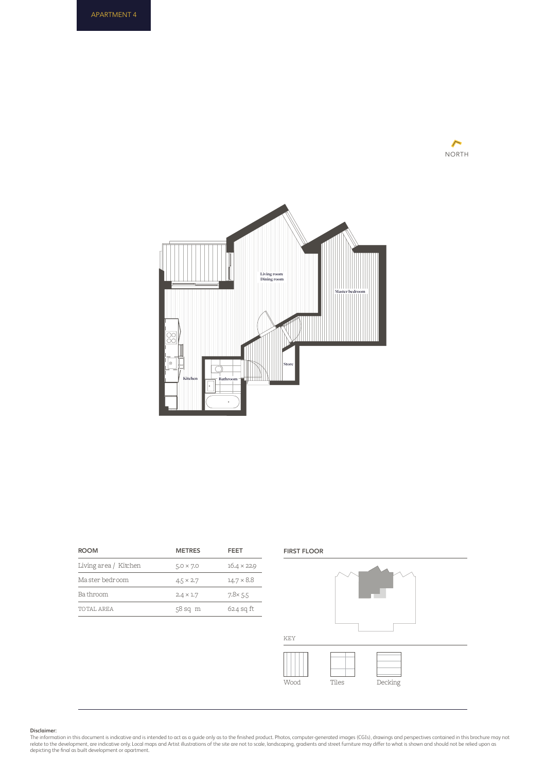



| <b>ROOM</b>           | <b>METRES</b>    | FEET               |
|-----------------------|------------------|--------------------|
| Living area / Kitchen | $5.0 \times 7.0$ | $16.4 \times 22.9$ |
| Ma ster bedroom       | $4.5 \times 2.7$ | $14.7 \times 8.8$  |
| Ba throom             | $2.4 \times 1.7$ | $7.8 \times 5.5$   |
| TOTAL AREA            | $58$ sq $m$      | $624$ sq ft        |
|                       |                  |                    |

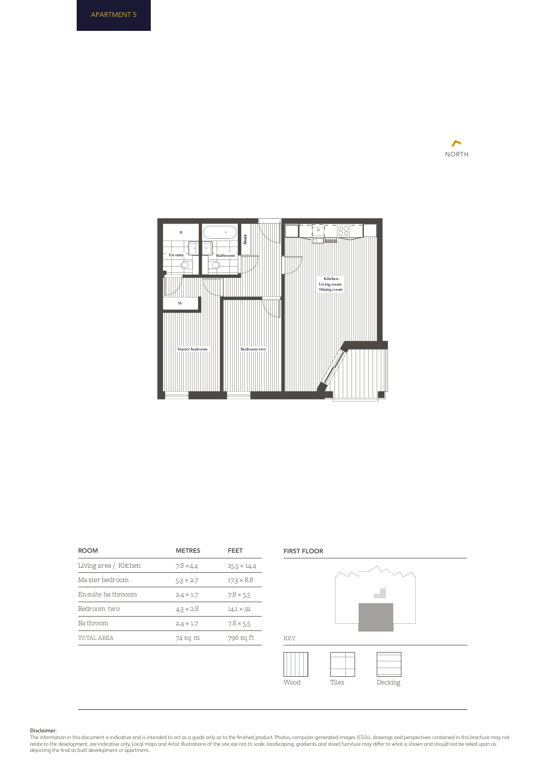



| <b>ROOM</b>           | <b>METRES</b>    | FEET               |
|-----------------------|------------------|--------------------|
| Living area / Kitchen | $7.8 \times 4.4$ | $25.5 \times 14.4$ |
| Ma ster bedroom       | $5.3 \times 2.7$ | $17.3 \times 8.8$  |
| En suite ba throoom   | $2.4 \times 1.7$ | $7.8 \times 5.5$   |
| Bedroom two           | $4.3 \times 2.8$ | $14.1 \times 91$   |
| Ba throom             | $2.4 \times 1.7$ | $7.8 \times 5.5$   |
| TOTAL AREA            | 74 sq m          | 796 sq ft          |
|                       |                  |                    |



#### **Disclaimer:**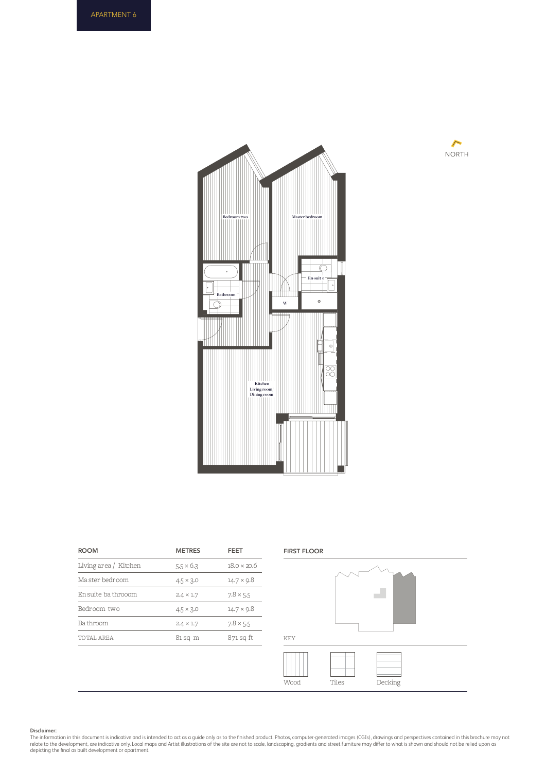



| <b>ROOM</b>           | <b>METRES</b>    | FFFT               |
|-----------------------|------------------|--------------------|
| Living area / Kitchen | $5.5 \times 6.3$ | $18.0 \times 20.6$ |
| Ma ster bedroom       | $4.5 \times 3.0$ | $14.7 \times 9.8$  |
| En suite ba throoom   | $2.4 \times 1.7$ | $7.8 \times 5.5$   |
| Bedroom two           | $4.5 \times 3.0$ | $14.7 \times 9.8$  |
| Ba throom             | $2.4 \times 1.7$ | $7.8 \times 5.5$   |
| TOTAL AREA            | 81 sq m          | 871 sq ft          |
|                       |                  |                    |



#### **Disclaimer:**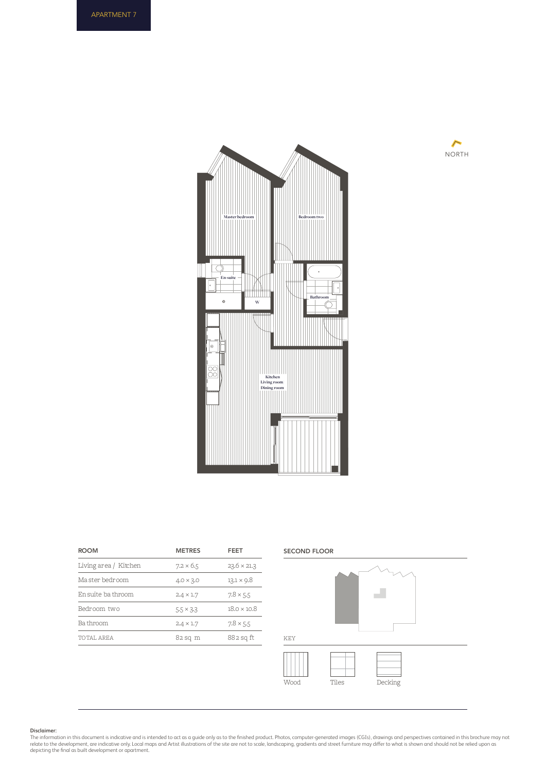



| <b>METRES</b>    | FEET               |
|------------------|--------------------|
| $7.2 \times 6.5$ | $23.6 \times 21.3$ |
| $4.0 \times 3.0$ | $13.1 \times 9.8$  |
| $2.4 \times 1.7$ | $7.8 \times 5.5$   |
| $5.5 \times 3.3$ | $18.0 \times 10.8$ |
| $2.4 \times 1.7$ | $7.8 \times 5.5$   |
| $82$ sq m        | 882 sq ft          |
|                  |                    |



#### **Disclaimer:**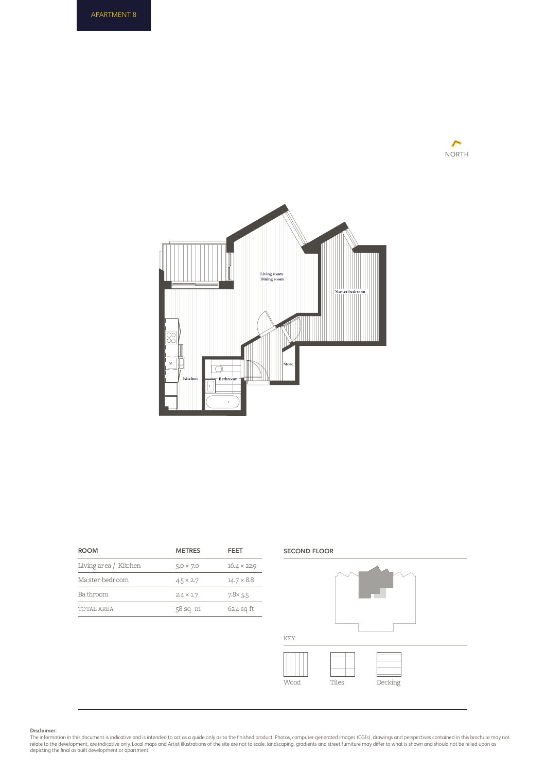



| <b>ROOM</b>           | <b>METRES</b>    | FEET               |
|-----------------------|------------------|--------------------|
| Living area / Kitchen | $5.0 \times 7.0$ | $16.4 \times 22.9$ |
| Ma ster bedroom       | $4.5 \times 2.7$ | $14.7 \times 8.8$  |
| Ba throom             | $2.4 \times 1.7$ | $7.8 \times 5.5$   |
| TOTAL AREA            | $58$ sq $m$      | $624$ sq ft        |
|                       |                  |                    |

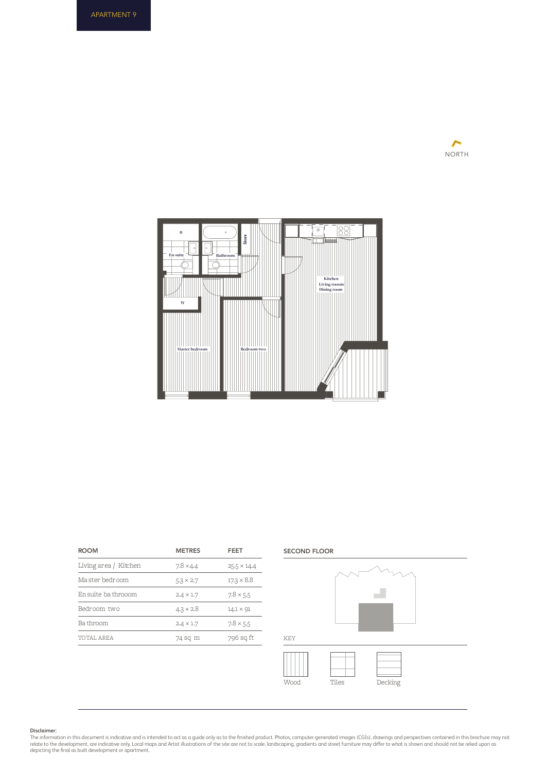



| <b>ROOM</b>           | <b>METRES</b>    | FEET               |
|-----------------------|------------------|--------------------|
| Living area / Kitchen | $7.8 \times 4.4$ | $25.5 \times 14.4$ |
| Ma ster bedroom       | $5.3 \times 2.7$ | $17.3 \times 8.8$  |
| En suite ba throoom   | $2.4 \times 1.7$ | $7.8 \times 5.5$   |
| Bedroom two           | $4.3 \times 2.8$ | $14.1 \times 91$   |
| Ba throom             | $2.4 \times 1.7$ | $7.8 \times 5.5$   |
| TOTAL AREA            | 74 sq m          | 796 sq ft          |
|                       |                  |                    |



Wood Tiles Decking

**Disclaimer:**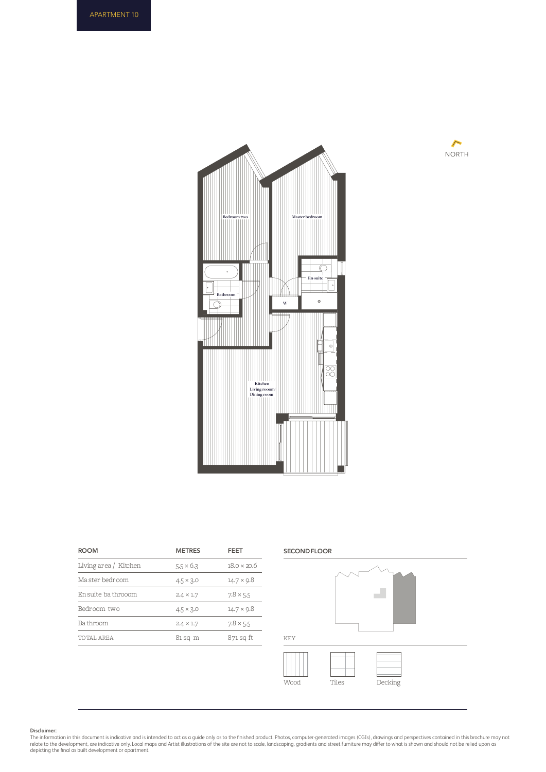



| <b>METRES</b>    | FEET               |
|------------------|--------------------|
| $5.5 \times 6.3$ | $18.0 \times 20.6$ |
| $4.5 \times 3.0$ | $14.7 \times 9.8$  |
| $2.4 \times 1.7$ | $7.8 \times 5.5$   |
| $4.5 \times 3.0$ | $14.7 \times 9.8$  |
| $2.4 \times 1.7$ | $7.8 \times 5.5$   |
| 81 sq m          | 871 sq ft          |
|                  |                    |



#### **Disclaimer:**